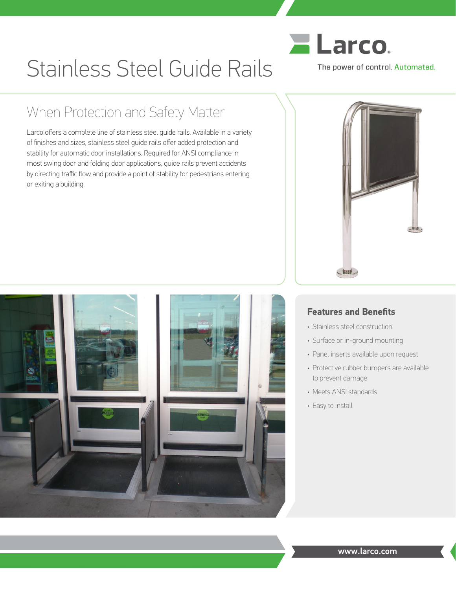

# Stainless Steel Guide Rails

## When Protection and Safety Matter

Larco offers a complete line of stainless steel guide rails. Available in a variety of finishes and sizes, stainless steel guide rails offer added protection and stability for automatic door installations. Required for ANSI compliance in most swing door and folding door applications, guide rails prevent accidents by directing traffic flow and provide a point of stability for pedestrians entering or exiting a building.





#### **Features and Benefits**

- Stainless steel construction
- Surface or in-ground mounting
- Panel inserts available upon request
- Protective rubber bumpers are available to prevent damage
- Meets ANSI standards
- Easy to install